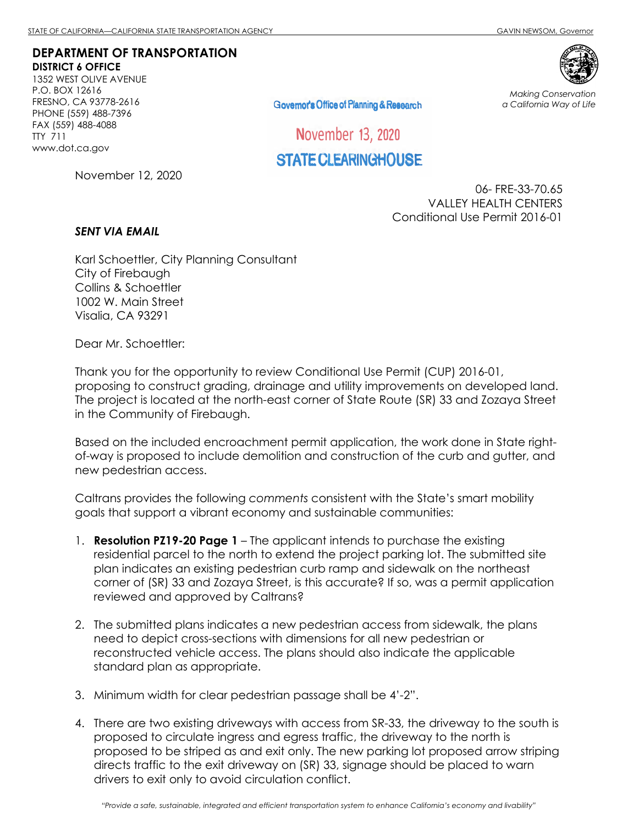## **DEPARTMENT OF TRANSPORTATION DISTRICT 6 OFFICE**

1352 WEST OLIVE AVENUE P.O. BOX 12616 FRESNO, CA 93778-2616 PHONE (559) 488-7396 FAX (559) 488-4088 TTY 711 www.dot.ca.gov

Governor's Office of Planning & Research

*Making Conservation a California Way of Life*

November 13, 2020

## STATE CLEARINGHOUSE

November 12, 2020

06- FRE-33-70.65 VALLEY HEALTH CENTERS Conditional Use Permit 2016-01

## *SENT VIA EMAIL*

Karl Schoettler, City Planning Consultant City of Firebaugh Collins & Schoettler 1002 W. Main Street Visalia, CA 93291

Dear Mr. Schoettler:

Thank you for the opportunity to review Conditional Use Permit (CUP) 2016-01, proposing to construct grading, drainage and utility improvements on developed land. The project is located at the north-east corner of State Route (SR) 33 and Zozaya Street in the Community of Firebaugh.

Based on the included encroachment permit application, the work done in State rightof-way is proposed to include demolition and construction of the curb and gutter, and new pedestrian access.

Caltrans provides the following *comments* consistent with the State's smart mobility goals that support a vibrant economy and sustainable communities:

- 1. **Resolution PZ19-20 Page 1** The applicant intends to purchase the existing residential parcel to the north to extend the project parking lot. The submitted site plan indicates an existing pedestrian curb ramp and sidewalk on the northeast corner of (SR) 33 and Zozaya Street, is this accurate? If so, was a permit application reviewed and approved by Caltrans?
- 2. The submitted plans indicates a new pedestrian access from sidewalk, the plans need to depict cross-sections with dimensions for all new pedestrian or reconstructed vehicle access. The plans should also indicate the applicable standard plan as appropriate.
- 3. Minimum width for clear pedestrian passage shall be 4'-2".
- 4. There are two existing driveways with access from SR-33, the driveway to the south is proposed to circulate ingress and egress traffic, the driveway to the north is proposed to be striped as and exit only. The new parking lot proposed arrow striping directs traffic to the exit driveway on (SR) 33, signage should be placed to warn drivers to exit only to avoid circulation conflict.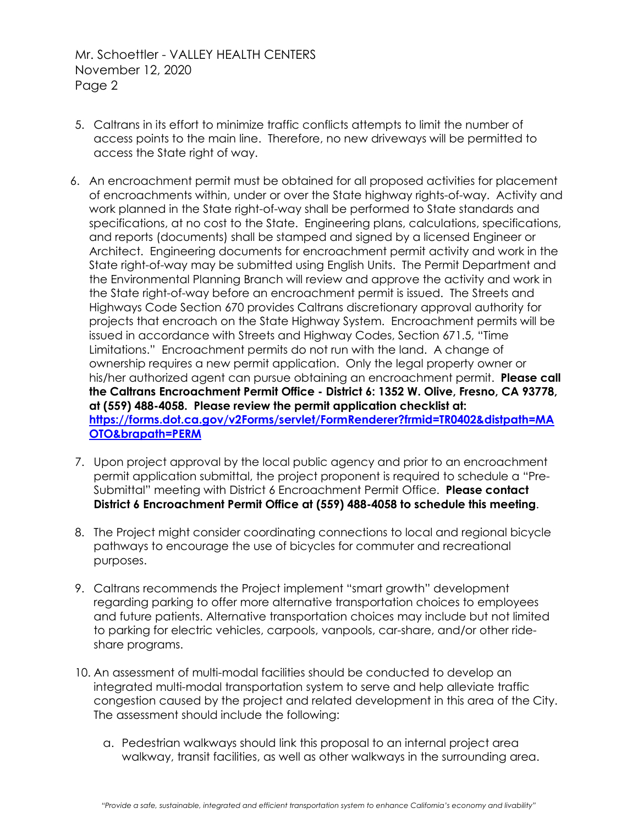Mr. Schoettler - VALLEY HEALTH CENTERS November 12, 2020 Page 2

- 5. Caltrans in its effort to minimize traffic conflicts attempts to limit the number of access points to the main line. Therefore, no new driveways will be permitted to access the State right of way.
- 6. An encroachment permit must be obtained for all proposed activities for placement of encroachments within, under or over the State highway rights-of-way. Activity and work planned in the State right-of-way shall be performed to State standards and specifications, at no cost to the State. Engineering plans, calculations, specifications, and reports (documents) shall be stamped and signed by a licensed Engineer or Architect. Engineering documents for encroachment permit activity and work in the State right-of-way may be submitted using English Units. The Permit Department and the Environmental Planning Branch will review and approve the activity and work in the State right-of-way before an encroachment permit is issued. The Streets and Highways Code Section 670 provides Caltrans discretionary approval authority for projects that encroach on the State Highway System. Encroachment permits will be issued in accordance with Streets and Highway Codes, Section 671.5, "Time Limitations." Encroachment permits do not run with the land. A change of ownership requires a new permit application. Only the legal property owner or his/her authorized agent can pursue obtaining an encroachment permit. **Please call the Caltrans Encroachment Permit Office - District 6: 1352 W. Olive, Fresno, CA 93778, at (559) 488-4058. Please review the permit application checklist at: [https://forms.dot.ca.gov/v2Forms/servlet/FormRenderer?frmid=TR0402&distpath=MA](https://forms.dot.ca.gov/v2Forms/servlet/FormRenderer?frmid=TR0402&distpath=MAOTO&brapath=PERM) [OTO&brapath=PERM](https://forms.dot.ca.gov/v2Forms/servlet/FormRenderer?frmid=TR0402&distpath=MAOTO&brapath=PERM)**
- 7. Upon project approval by the local public agency and prior to an encroachment permit application submittal, the project proponent is required to schedule a "Pre-Submittal" meeting with District 6 Encroachment Permit Office. **Please contact District 6 Encroachment Permit Office at (559) 488-4058 to schedule this meeting**.
- 8. The Project might consider coordinating connections to local and regional bicycle pathways to encourage the use of bicycles for commuter and recreational purposes.
- 9. Caltrans recommends the Project implement "smart growth" development regarding parking to offer more alternative transportation choices to employees and future patients. Alternative transportation choices may include but not limited to parking for electric vehicles, carpools, vanpools, car-share, and/or other rideshare programs.
- 10. An assessment of multi-modal facilities should be conducted to develop an integrated multi-modal transportation system to serve and help alleviate traffic congestion caused by the project and related development in this area of the City. The assessment should include the following:
	- a. Pedestrian walkways should link this proposal to an internal project area walkway, transit facilities, as well as other walkways in the surrounding area.